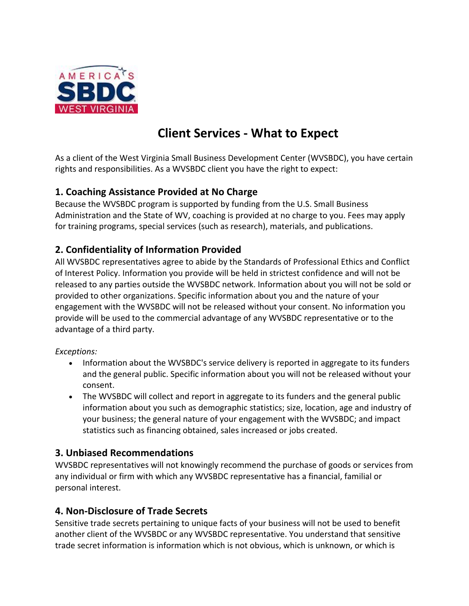

# **Client Services - What to Expect**

As a client of the West Virginia Small Business Development Center (WVSBDC), you have certain rights and responsibilities. As a WVSBDC client you have the right to expect:

### **1. Coaching Assistance Provided at No Charge**

Because the WVSBDC program is supported by funding from the U.S. Small Business Administration and the State of WV, coaching is provided at no charge to you. Fees may apply for training programs, special services (such as research), materials, and publications.

## **2. Confidentiality of Information Provided**

All WVSBDC representatives agree to abide by the Standards of Professional Ethics and Conflict of Interest Policy. Information you provide will be held in strictest confidence and will not be released to any parties outside the WVSBDC network. Information about you will not be sold or provided to other organizations. Specific information about you and the nature of your engagement with the WVSBDC will not be released without your consent. No information you provide will be used to the commercial advantage of any WVSBDC representative or to the advantage of a third party.

#### *Exceptions:*

- Information about the WVSBDC's service delivery is reported in aggregate to its funders and the general public. Specific information about you will not be released without your consent.
- The WVSBDC will collect and report in aggregate to its funders and the general public information about you such as demographic statistics; size, location, age and industry of your business; the general nature of your engagement with the WVSBDC; and impact statistics such as financing obtained, sales increased or jobs created.

### **3. Unbiased Recommendations**

WVSBDC representatives will not knowingly recommend the purchase of goods or services from any individual or firm with which any WVSBDC representative has a financial, familial or personal interest.

### **4. Non-Disclosure of Trade Secrets**

Sensitive trade secrets pertaining to unique facts of your business will not be used to benefit another client of the WVSBDC or any WVSBDC representative. You understand that sensitive trade secret information is information which is not obvious, which is unknown, or which is